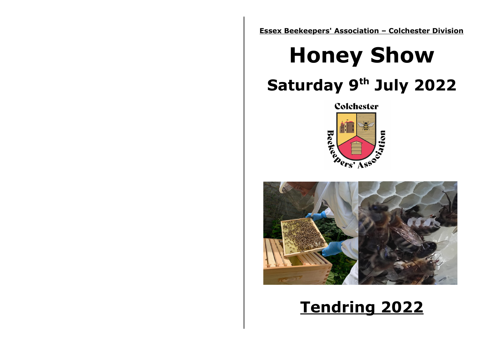**Essex Beekeepers' Association – Colchester Division**

# **Honey Show Saturday 9th July 2022**





## **Tendring 2022**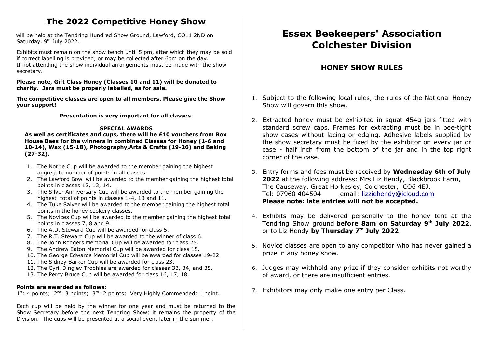## **The 2022 Competitive Honey Show**

will be held at the Tendring Hundred Show Ground, Lawford, CO11 2ND on Saturday, 9<sup>th</sup> July 2022.

Exhibits must remain on the show bench until 5 pm, after which they may be sold if correct labelling is provided, or may be collected after 6pm on the day. If not attending the show individual arrangements must be made with the show secretary.

#### **Please note, Gift Class Honey (Classes 10 and 11) will be donated to charity. Jars must be properly labelled, as for sale.**

**The competitive classes are open to all members. Please give the Show your support!**

**Presentation is very important for all classes**.

## **SPECIAL AWARDS**

**As well as certificates and cups, there will be £10 vouchers from Box House Bees for the winners in combined Classes for Honey (1-6 and 10-14), Wax (15-18), Photography,Arts & Crafts (19-26) and Baking (27-32).**

- 1. The Norrie Cup will be awarded to the member gaining the highest aggregate number of points in all classes.
- 2. The Lawford Bowl will be awarded to the member gaining the highest total points in classes 12, 13, 14.
- 3. The Silver Anniversary Cup will be awarded to the member gaining the highest total of points in classes 1-4, 10 and 11.
- 4. The Tuke Salver will be awarded to the member gaining the highest total points in the honey cookery classes.
- 5. The Novices Cup will be awarded to the member gaining the highest total points in classes 7, 8 and 9.
- 6. The A.D. Steward Cup will be awarded for class 5.
- 7. The R.T. Steward Cup will be awarded to the winner of class 6.
- 8. The John Rodgers Memorial Cup will be awarded for class 25.
- 9. The Andrew Eaton Memorial Cup will be awarded for class 15.
- 10. The George Edwards Memorial Cup will be awarded for classes 19-22.
- 11. The Sidney Barker Cup will be awarded for class 23.
- 12. The Cyril Dingley Trophies are awarded for classes 33, 34, and 35.
- 13. The Percy Bruce Cup will be awarded for class 16, 17, 18.

## **Points are awarded as follows:**

 $1^{st}$ : 4 points;  $2^{nd}$ : 3 points;  $3^{rd}$ : 2 points; Very Highly Commended: 1 point.

Each cup will be held by the winner for one year and must be returned to the Show Secretary before the next Tendring Show; it remains the property of the Division. The cups will be presented at a social event later in the summer.

## **Essex Beekeepers' Association Colchester Division**

## **HONEY SHOW RULES**

- 1. Subject to the following local rules, the rules of the National Honey Show will govern this show.
- 2. Extracted honey must be exhibited in squat 454g jars fitted with standard screw caps. Frames for extracting must be in bee-tight show cases without lacing or edging. Adhesive labels supplied by the show secretary must be fixed by the exhibitor on every jar or case - half inch from the bottom of the jar and in the top right corner of the case.
- 3. Entry forms and fees must be received by **Wednesday 6th of July 2022** at the following address: Mrs Liz Hendy, Blackbrook Farm, The Causeway, Great Horkesley, Colchester, CO6 4EJ. Tel: 07960 404504 email: [lizziehendy@icloud.com](mailto:lizziehendy@icloud.com) **Please note: late entries will not be accepted.**
- 4. Exhibits may be delivered personally to the honey tent at the Tendring Show ground **before 8am on Saturday 9th July 2022**, or to Liz Hendy **by Thursday 7th July 2022**.
- 5. Novice classes are open to any competitor who has never gained a prize in any honey show.
- 6. Judges may withhold any prize if they consider exhibits not worthy of award, or there are insufficient entries.
- 7. Exhibitors may only make one entry per Class.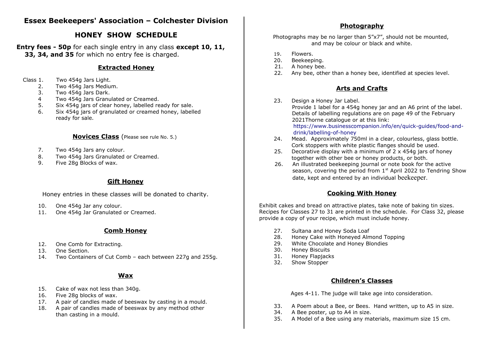## **Essex Beekeepers' Association – Colchester Division**

## **HONEY SHOW SCHEDULE**

**Entry fees - 50p** for each single entry in any class **except 10, 11, 33, 34, and 35** for which no entry fee is charged.

## **Extracted Honey**

- Class 1. Two 454g Jars Light.
	- 2. Two 454g Jars Medium.
	- 3. Two 454g Jars Dark.
	- 4 Two 454g Jars Granulated or Creamed.
	- 5. Six 454g jars of clear honey, labelled ready for sale.
	- 6. Six 454g jars of granulated or creamed honey, labelled ready for sale.

## **Novices Class** (Please see rule No. 5.)

- 7. Two 454g Jars any colour.
- 8. Two 454g Jars Granulated or Creamed.
- 9. Five 28g Blocks of wax.

## **Gift Honey**

Honey entries in these classes will be donated to charity.

- 10. One 454g Jar any colour.
- 11. One 454g Jar Granulated or Creamed.

## **Comb Honey**

- 12. One Comb for Extracting.
- 13. One Section.
- 14. Two Containers of Cut Comb each between 227g and 255g.

## **Wax**

- 15. Cake of wax not less than 340g.
- 16. Five 28g blocks of wax.
- 17. A pair of candles made of beeswax by casting in a mould.
- 18. A pair of candles made of beeswax by any method other than casting in a mould.

## **Photography**

Photographs may be no larger than 5"x7", should not be mounted, and may be colour or black and white.

- 19. Flowers.
- 20. Beekeeping.
- 21. A honey bee.
- 22. Any bee, other than a honey bee, identified at species level.

## **Arts and Crafts**

- 23. Design a Honey Jar Label. Provide 1 label for a 454g honey jar and an A6 print of the label. Details of labelling regulations are on page 49 of the February 2021Thorne catalogue or at this link: [https://www.businesscompanion.info/en/quick-guides/food-and](https://www.businesscompanion.info/en/quick-guides/food-and-drink/labelling-of-honey)[drink/labelling-of-honey](https://www.businesscompanion.info/en/quick-guides/food-and-drink/labelling-of-honey)
- 24. Mead. Approximately 750ml in a clear, colourless, glass bottle. Cork stoppers with white plastic flanges should be used.
- 25. Decorative display with a minimum of 2 x 454g jars of honey together with other bee or honey products, or both.
- 26. An illustrated beekeeping journal or note book for the active season, covering the period from  $1<sup>st</sup>$  April 2022 to Tendring Show date, kept and entered by an individual beekeeper.

## **Cooking With Honey**

Exhibit cakes and bread on attractive plates, take note of baking tin sizes. Recipes for Classes 27 to 31 are printed in the schedule. For Class 32, please provide a copy of your recipe, which must include honey.

- 27. Sultana and Honey Soda Loaf
- 28. Honey Cake with Honeyed Almond Topping
- 29. White Chocolate and Honey Blondies
- 30. Honey Biscuits
- 31. Honey Flapjacks
- 32. Show Stopper

## **Children's Classes**

Ages 4-11. The judge will take age into consideration.

- 33. A Poem about a Bee, or Bees. Hand written, up to A5 in size.
- 34. A Bee poster, up to A4 in size.
- 35. A Model of a Bee using any materials, maximum size 15 cm.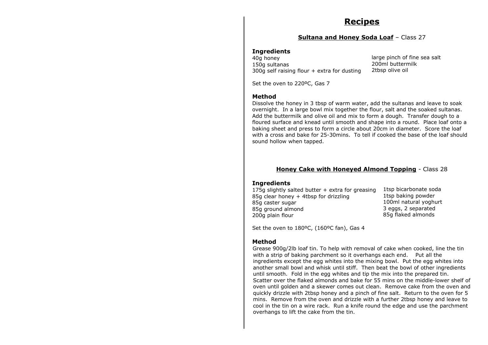## **Recipes**

#### **Sultana and Honey Soda Loaf** – Class 27

#### **Ingredients**

40g honey 150g sultanas 300g self raising flour + extra for dusting large pinch of fine sea salt 200ml buttermilk 2tbsp olive oil

Set the oven to 220°C, Gas 7

#### **Method**

Dissolve the honey in 3 tbsp of warm water, add the sultanas and leave to soak overnight. In a large bowl mix together the flour, salt and the soaked sultanas. Add the buttermilk and olive oil and mix to form a dough. Transfer dough to a floured surface and knead until smooth and shape into a round. Place loaf onto a baking sheet and press to form a circle about 20cm in diameter. Score the loaf with a cross and bake for 25-30mins. To tell if cooked the base of the loaf should sound hollow when tapped.

#### **Honey Cake with Honeyed Almond Topping** - Class 28

#### **Ingredients**

| 175g slightly salted butter + extra for greasing | 1tsp bicarbonate soda |
|--------------------------------------------------|-----------------------|
| 85g clear honey + 4tbsp for drizzling            | 1tsp baking powder    |
| 85g caster sugar                                 | 100ml natural yoghurt |
| 85g ground almond                                | 3 eggs, 2 separated   |
| 200g plain flour                                 | 85g flaked almonds    |

Set the oven to 180°C, (160°C fan), Gas 4

#### **Method**

Grease 900g/2lb loaf tin. To help with removal of cake when cooked, line the tin with a strip of baking parchment so it overhangs each end. Put all the ingredients except the egg whites into the mixing bowl. Put the egg whites into another small bowl and whisk until stiff. Then beat the bowl of other ingredients until smooth. Fold in the egg whites and tip the mix into the prepared tin. Scatter over the flaked almonds and bake for 55 mins on the middle-lower shelf of oven until golden and a skewer comes out clean. Remove cake from the oven and quickly drizzle with 2tbsp honey and a pinch of fine salt. Return to the oven for 5 mins. Remove from the oven and drizzle with a further 2tbsp honey and leave to cool in the tin on a wire rack. Run a knife round the edge and use the parchment overhangs to lift the cake from the tin.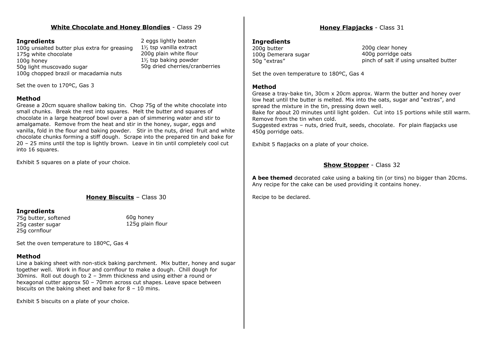## **White Chocolate and Honey Blondies** - Class 29

#### **Ingredients**

100g unsalted butter plus extra for greasing 175g white chocolate 100g honey 50g light muscovado sugar 100g chopped brazil or macadamia nuts

2 eggs lightly beaten 1⅟₂ tsp vanilla extract 200g plain white flour 1⅟₂ tsp baking powder 50g dried cherries/cranberries

Set the oven to 170°C, Gas  $3\square\square$ 

## **Method**

Grease a 20cm square shallow baking tin. Chop 75g of the white chocolate into small chunks. Break the rest into squares. Melt the butter and squares of chocolate in a large heatproof bowl over a pan of simmering water and stir to amalgamate. Remove from the heat and stir in the honey, sugar, eggs and vanilla, fold in the flour and baking powder. Stir in the nuts, dried fruit and white chocolate chunks forming a stiff dough. Scrape into the prepared tin and bake for 20 – 25 mins until the top is lightly brown. Leave in tin until completely cool cut into 16 squares.

Exhibit 5 squares on a plate of your choice.

## **Honey Biscuits** – Class 30

#### **Ingredients**

75g butter, softened 25g caster sugar 25g cornflour

60g honey 125g plain flour

Set the oven temperature to 180ºC, Gas 4

## **Method**

Line a baking sheet with non-stick baking parchment. Mix butter, honey and sugar together well. Work in flour and cornflour to make a dough. Chill dough for 30mins. Roll out dough to 2 – 3mm thickness and using either a round or hexagonal cutter approx 50 – 70mm across cut shapes. Leave space between biscuits on the baking sheet and bake for 8 – 10 mins.

Exhibit 5 biscuits on a plate of your choice.

## **Honey Flapjacks** - Class 31

#### **Ingredients**

200g butter 100g Demerara sugar 50g "extras"

200g clear honey 400g porridge oats pinch of salt if using unsalted butter

Set the oven temperature to 180ºC, Gas 4

#### **Method**

Grease a tray-bake tin, 30cm x 20cm approx. Warm the butter and honey over low heat until the butter is melted. Mix into the oats, sugar and "extras", and spread the mixture in the tin, pressing down well.

Bake for about 20 minutes until light golden. Cut into 15 portions while still warm. Remove from the tin when cold.

Suggested extras – nuts, dried fruit, seeds, chocolate. For plain flapjacks use 450g porridge oats.

Exhibit 5 flapjacks on a plate of your choice.

## **Show Stopper** - Class 32

**A bee themed** decorated cake using a baking tin (or tins) no bigger than 20cms. Any recipe for the cake can be used providing it contains honey.

Recipe to be declared.